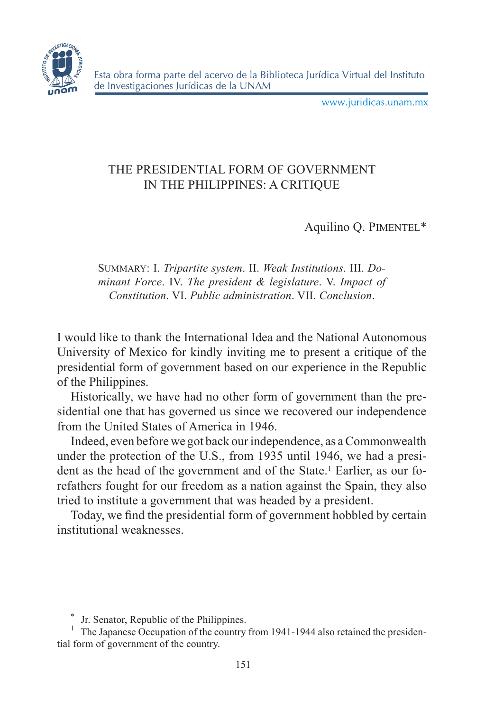

www.juridicas.unam.mx

# THE PRESIDENTIAL FORM OF GOVERNMENT IN THE PHILIPPINES: A CRITIQUE

Aquilino O. PIMENTEL\*

Summary: I. *Tripartite system*. II. *Weak Institutions*. III. *Dominant Force*. IV. *The president & legislature*. V. *Impact of Constitution*. VI. *Public administration*. VII. *Conclusion*.

I would like to thank the International Idea and the National Autonomous University of Mexico for kindly inviting me to present a critique of the presidential form of government based on our experience in the Republic of the Philippines.

Historically, we have had no other form of government than the presidential one that has governed us since we recovered our independence from the United States of America in 1946.

Indeed, even before we got back our independence, as a Commonwealth under the protection of the U.S., from 1935 until 1946, we had a president as the head of the government and of the State.<sup>1</sup> Earlier, as our forefathers fought for our freedom as a nation against the Spain, they also tried to institute a government that was headed by a president.

Today, we find the presidential form of government hobbled by certain institutional weaknesses.

\*

<sup>\*</sup> Jr. Senator, Republic of the Philippines.<br><sup>1</sup> The Japanese Occupation of the country from 1941-1944 also retained the presidential form of government of the country.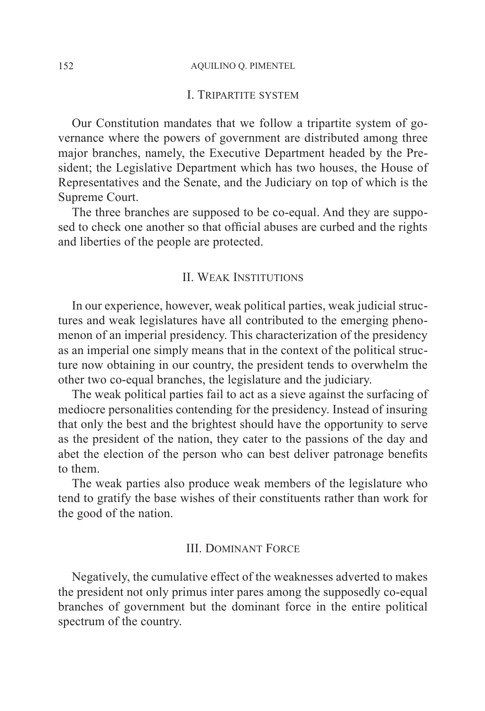#### 152 AQUILINO Q. PIMENTEL

#### I. Tripartite system

Our Constitution mandates that we follow a tripartite system of governance where the powers of government are distributed among three major branches, namely, the Executive Department headed by the President; the Legislative Department which has two houses, the House of Representatives and the Senate, and the Judiciary on top of which is the Supreme Court.

The three branches are supposed to be co-equal. And they are supposed to check one another so that official abuses are curbed and the rights and liberties of the people are protected.

### II. Weak Institutions

In our experience, however, weak political parties, weak judicial structures and weak legislatures have all contributed to the emerging phenomenon of an imperial presidency. This characterization of the presidency as an imperial one simply means that in the context of the political structure now obtaining in our country, the president tends to overwhelm the other two co-equal branches, the legislature and the judiciary.

The weak political parties fail to act as a sieve against the surfacing of mediocre personalities contending for the presidency. Instead of insuring that only the best and the brightest should have the opportunity to serve as the president of the nation, they cater to the passions of the day and abet the election of the person who can best deliver patronage benefits to them.

The weak parties also produce weak members of the legislature who tend to gratify the base wishes of their constituents rather than work for the good of the nation.

#### III. Dominant Force

Negatively, the cumulative effect of the weaknesses adverted to makes the president not only primus inter pares among the supposedly co-equal branches of government but the dominant force in the entire political spectrum of the country.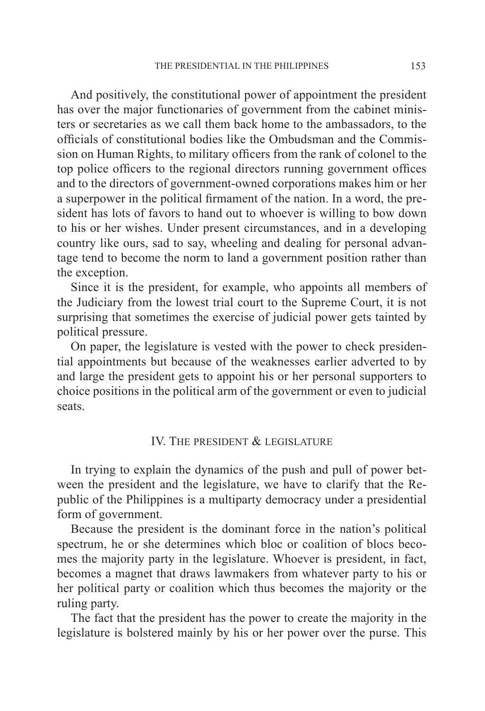And positively, the constitutional power of appointment the president has over the major functionaries of government from the cabinet ministers or secretaries as we call them back home to the ambassadors, to the officials of constitutional bodies like the Ombudsman and the Commission on Human Rights, to military officers from the rank of colonel to the top police officers to the regional directors running government offices and to the directors of government-owned corporations makes him or her a superpower in the political firmament of the nation. In a word, the president has lots of favors to hand out to whoever is willing to bow down to his or her wishes. Under present circumstances, and in a developing country like ours, sad to say, wheeling and dealing for personal advantage tend to become the norm to land a government position rather than the exception.

Since it is the president, for example, who appoints all members of the Judiciary from the lowest trial court to the Supreme Court, it is not surprising that sometimes the exercise of judicial power gets tainted by political pressure.

On paper, the legislature is vested with the power to check presidential appointments but because of the weaknesses earlier adverted to by and large the president gets to appoint his or her personal supporters to choice positions in the political arm of the government or even to judicial seats.

## IV. The president  $\&$  legislature

In trying to explain the dynamics of the push and pull of power between the president and the legislature, we have to clarify that the Republic of the Philippines is a multiparty democracy under a presidential form of government.

Because the president is the dominant force in the nation's political spectrum, he or she determines which bloc or coalition of blocs becomes the majority party in the legislature. Whoever is president, in fact, becomes a magnet that draws lawmakers from whatever party to his or her political party or coalition which thus becomes the majority or the ruling party.

The fact that the president has the power to create the majority in the legislature is bolstered mainly by his or her power over the purse. This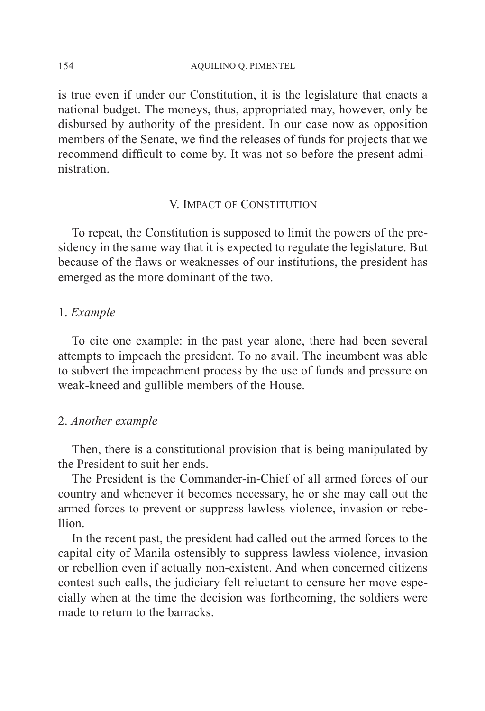is true even if under our Constitution, it is the legislature that enacts a national budget. The moneys, thus, appropriated may, however, only be disbursed by authority of the president. In our case now as opposition members of the Senate, we find the releases of funds for projects that we recommend difficult to come by. It was not so before the present administration.

#### V. Impact of Constitution

To repeat, the Constitution is supposed to limit the powers of the presidency in the same way that it is expected to regulate the legislature. But because of the flaws or weaknesses of our institutions, the president has emerged as the more dominant of the two.

## 1. *Example*

To cite one example: in the past year alone, there had been several attempts to impeach the president. To no avail. The incumbent was able to subvert the impeachment process by the use of funds and pressure on weak-kneed and gullible members of the House.

## 2. *Another example*

Then, there is a constitutional provision that is being manipulated by the President to suit her ends.

The President is the Commander-in-Chief of all armed forces of our country and whenever it becomes necessary, he or she may call out the armed forces to prevent or suppress lawless violence, invasion or rebellion.

In the recent past, the president had called out the armed forces to the capital city of Manila ostensibly to suppress lawless violence, invasion or rebellion even if actually non-existent. And when concerned citizens contest such calls, the judiciary felt reluctant to censure her move especially when at the time the decision was forthcoming, the soldiers were made to return to the barracks.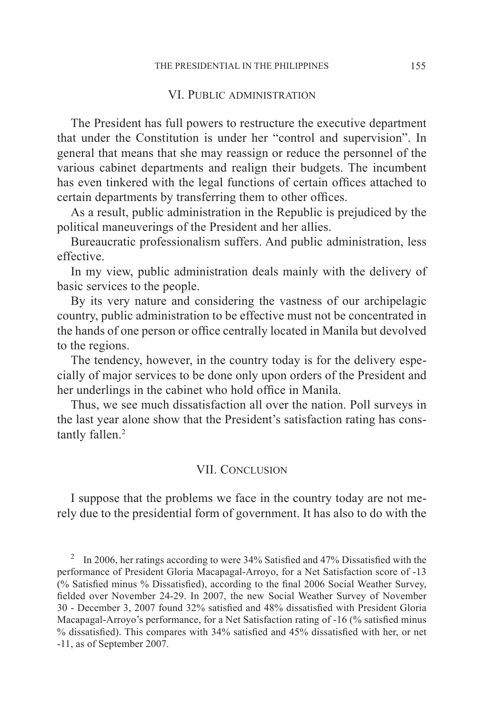#### VI. PUBLIC ADMINISTRATION

The President has full powers to restructure the executive department that under the Constitution is under her "control and supervision". In general that means that she may reassign or reduce the personnel of the various cabinet departments and realign their budgets. The incumbent has even tinkered with the legal functions of certain offices attached to certain departments by transferring them to other offices.

As a result, public administration in the Republic is prejudiced by the political maneuverings of the President and her allies.

Bureaucratic professionalism suffers. And public administration, less effective.

In my view, public administration deals mainly with the delivery of basic services to the people.

By its very nature and considering the vastness of our archipelagic country, public administration to be effective must not be concentrated in the hands of one person or office centrally located in Manila but devolved to the regions.

The tendency, however, in the country today is for the delivery especially of major services to be done only upon orders of the President and her underlings in the cabinet who hold office in Manila.

Thus, we see much dissatisfaction all over the nation. Poll surveys in the last year alone show that the President's satisfaction rating has constantly fallen.<sup>2</sup>

### VII. Conclusion

I suppose that the problems we face in the country today are not merely due to the presidential form of government. It has also to do with the

<sup>2</sup>In 2006, her ratings according to were 34% Satisfied and 47% Dissatisfied with the performance of President Gloria Macapagal-Arroyo, for a Net Satisfaction score of -13 (% Satisfied minus % Dissatisfied), according to the final 2006 Social Weather Survey, fielded over November 24-29. In 2007, the new Social Weather Survey of November 30 - December 3, 2007 found 32% satisfied and 48% dissatisfied with President Gloria Macapagal-Arroyo's performance, for a Net Satisfaction rating of -16 (% satisfied minus % dissatisfied). This compares with 34% satisfied and 45% dissatisfied with her, or net -11, as of September 2007.